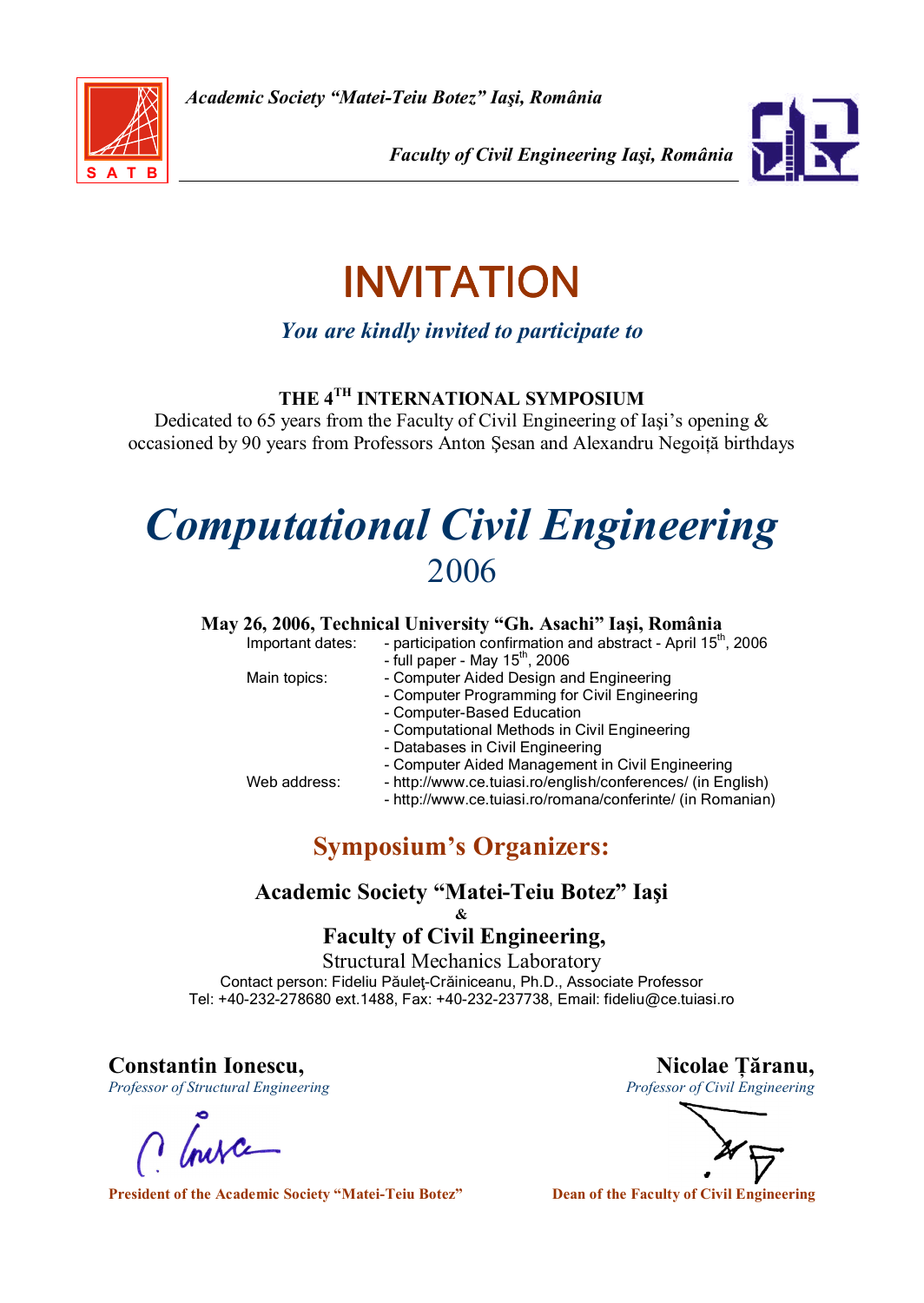

Faculty of Civil Engineering Iaşi, România



# INVITATION

You are kindly invited to participate to

## THE 4TH INTERNATIONAL SYMPOSIUM

Dedicated to 65 years from the Faculty of Civil Engineering of Iasi's opening  $\&$ occasioned by 90 years from Professors Anton Şesan and Alexandru Negoiță birthdays

# Computational Civil Engineering 2006

#### May 26, 2006, Technical University "Gh. Asachi" Iaşi, România

| Important dates: | - participation confirmation and abstract - April 15 <sup>th</sup> , 2006<br>- full paper - May $15th$ , 2006                                                                                                                                                     |
|------------------|-------------------------------------------------------------------------------------------------------------------------------------------------------------------------------------------------------------------------------------------------------------------|
| Main topics:     | - Computer Aided Design and Engineering<br>- Computer Programming for Civil Engineering<br>- Computer-Based Education                                                                                                                                             |
| Web address:     | - Computational Methods in Civil Engineering<br>- Databases in Civil Engineering<br>- Computer Aided Management in Civil Engineering<br>- http://www.ce.tuiasi.ro/english/conferences/ (in English)<br>- http://www.ce.tuiasi.ro/romana/conferinte/ (in Romanian) |

# Symposium's Organizers:

## Academic Society "Matei-Teiu Botez" Iaşi

&

### Faculty of Civil Engineering,

Structural Mechanics Laboratory Contact person: Fideliu Păuleţ-Crăiniceanu, Ph.D., Associate Professor Tel: +40-232-278680 ext.1488, Fax: +40-232-237738, Email: fideliu@ce.tuiasi.ro

Constantin Ionescu,<br>
Professor of Structural Engineering<br>
Professor of Civil Engineering<br>
Professor of Civil Engineering Professor of Structural Engineering

President of the Academic Society "Matei-Teiu Botez" Dean of the Faculty of Civil Engineering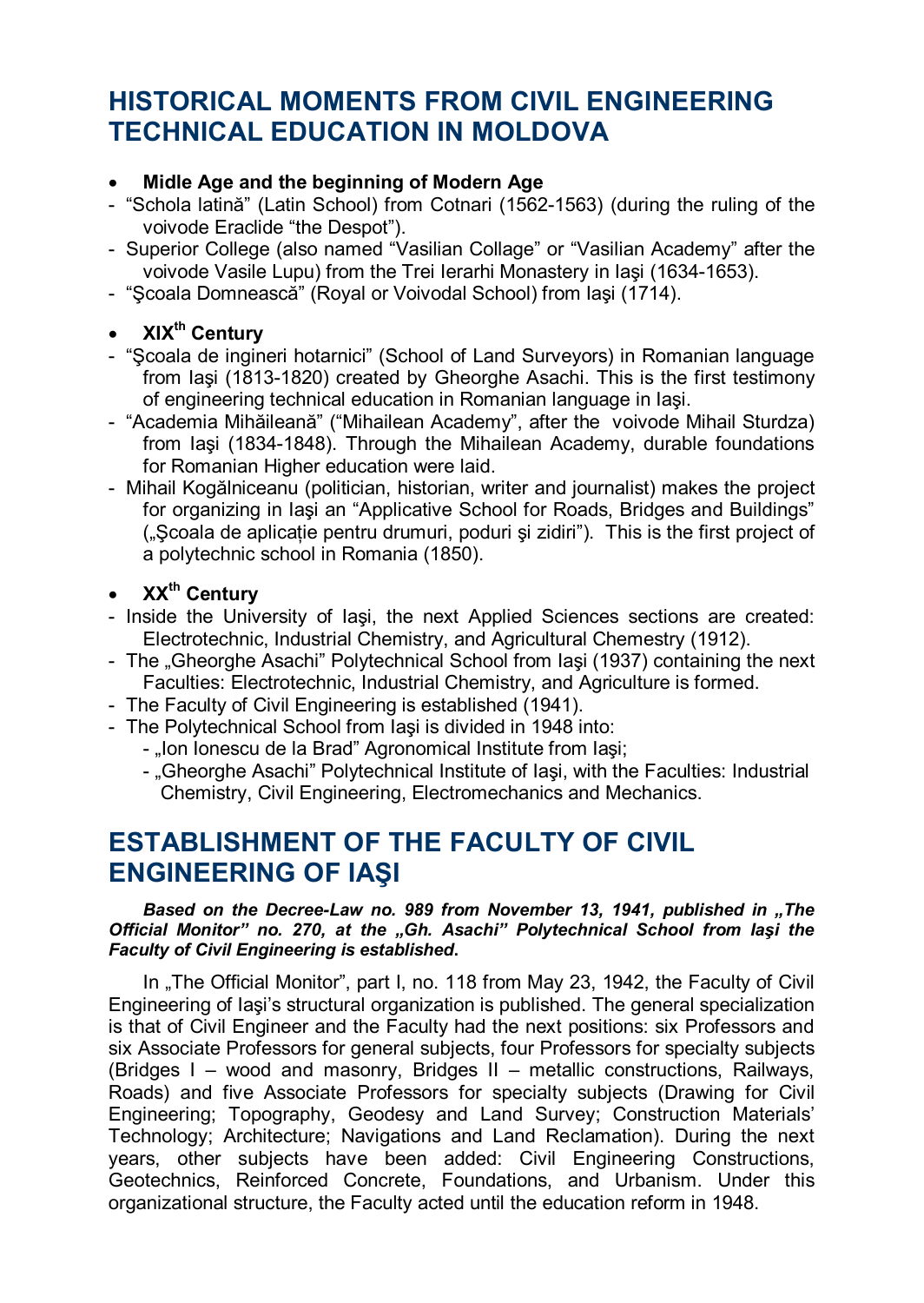## HISTORICAL MOMENTS FROM CIVIL ENGINEERING TECHNICAL EDUCATION IN MOLDOVA

#### • Midle Age and the beginning of Modern Age

- "Schola latină" (Latin School) from Cotnari (1562-1563) (during the ruling of the voivode Eraclide "the Despot").
- Superior College (also named "Vasilian Collage" or "Vasilian Academy" after the voivode Vasile Lupu) from the Trei Ierarhi Monastery in Iaşi (1634-1653).
- "Şcoala Domnească" (Royal or Voivodal School) from Iaşi (1714).

## XIX<sup>th</sup> Century

- "Şcoala de ingineri hotarnici" (School of Land Surveyors) in Romanian language from Iaşi (1813-1820) created by Gheorghe Asachi. This is the first testimony of engineering technical education in Romanian language in Iaşi.
- "Academia Mihăileană" ("Mihailean Academy", after the voivode Mihail Sturdza) from Iaşi (1834-1848). Through the Mihailean Academy, durable foundations for Romanian Higher education were laid.
- Mihail Kogălniceanu (politician, historian, writer and journalist) makes the project for organizing in Iaşi an "Applicative School for Roads, Bridges and Buildings" ("Scoala de aplicatie pentru drumuri, poduri și zidiri"). This is the first project of a polytechnic school in Romania (1850).
- $XX<sup>th</sup>$  Century
- Inside the University of Iaşi, the next Applied Sciences sections are created: Electrotechnic, Industrial Chemistry, and Agricultural Chemestry (1912).
- The "Gheorghe Asachi" Polytechnical School from Iaşi (1937) containing the next Faculties: Electrotechnic, Industrial Chemistry, and Agriculture is formed.
- The Faculty of Civil Engineering is established (1941).
- The Polytechnical School from Iaşi is divided in 1948 into:
	- "Ion Ionescu de la Brad" Agronomical Institute from Iași;
	- "Gheorghe Asachi" Polytechnical Institute of Iași, with the Faculties: Industrial Chemistry, Civil Engineering, Electromechanics and Mechanics.

## ESTABLISHMENT OF THE FACULTY OF CIVIL ENGINEERING OF IAŞI

#### Based on the Decree-Law no. 989 from November 13, 1941, published in "The Official Monitor" no. 270, at the "Gh. Asachi" Polytechnical School from lasi the Faculty of Civil Engineering is established.

In "The Official Monitor", part I, no. 118 from May 23, 1942, the Faculty of Civil Engineering of Iaşi's structural organization is published. The general specialization is that of Civil Engineer and the Faculty had the next positions: six Professors and six Associate Professors for general subjects, four Professors for specialty subjects (Bridges I – wood and masonry, Bridges II – metallic constructions, Railways, Roads) and five Associate Professors for specialty subjects (Drawing for Civil Engineering; Topography, Geodesy and Land Survey; Construction Materials' Technology; Architecture; Navigations and Land Reclamation). During the next years, other subjects have been added: Civil Engineering Constructions, Geotechnics, Reinforced Concrete, Foundations, and Urbanism. Under this organizational structure, the Faculty acted until the education reform in 1948.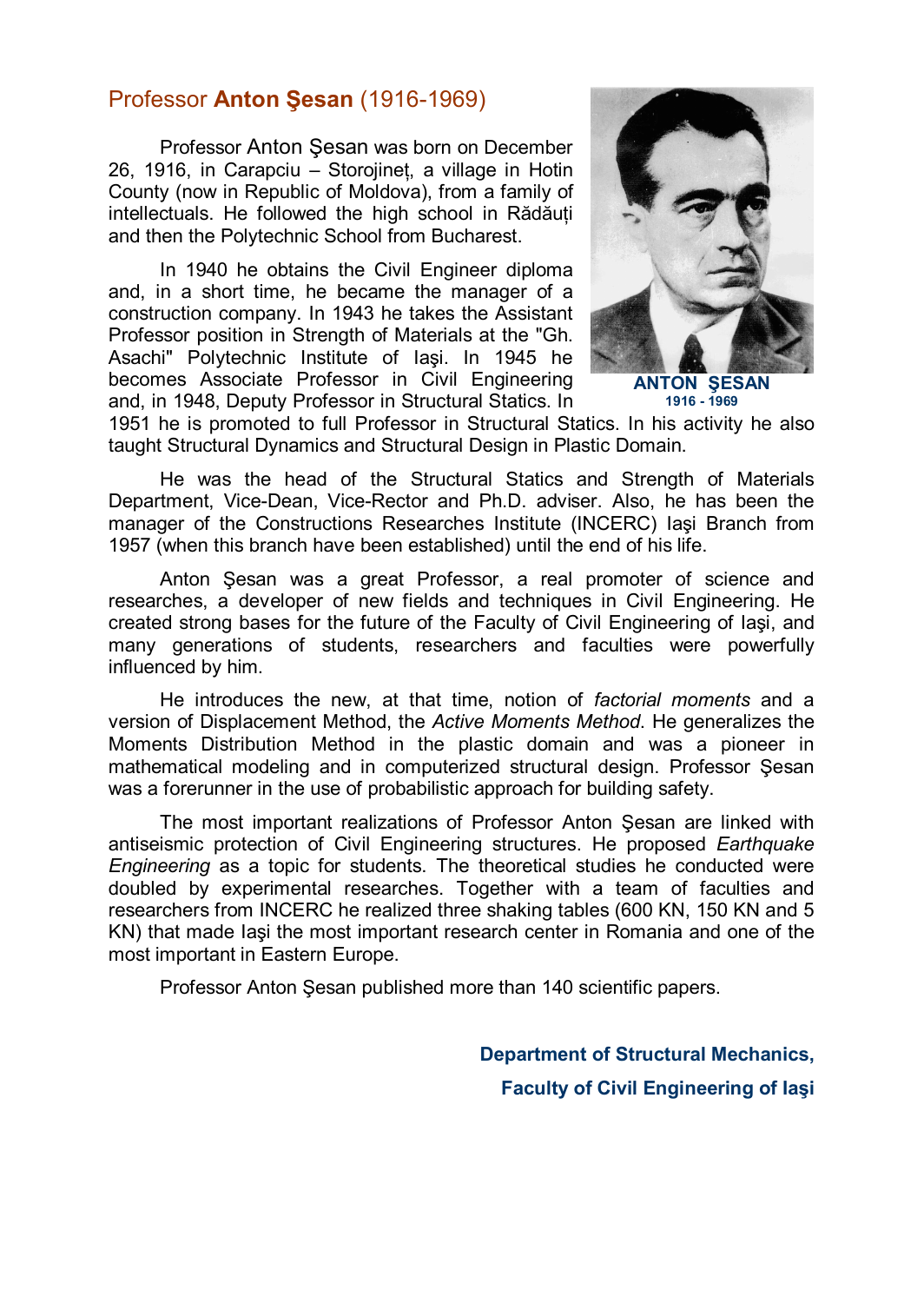## Professor **Anton Sesan** (1916-1969)

Professor Anton Şesan was born on December  $26.$  1916, in Carapciu – Storojinet, a village in Hotin County (now in Republic of Moldova), from a family of intellectuals. He followed the high school in Rădăuti and then the Polytechnic School from Bucharest.

In 1940 he obtains the Civil Engineer diploma and, in a short time, he became the manager of a construction company. In 1943 he takes the Assistant Professor position in Strength of Materials at the "Gh. Asachi" Polytechnic Institute of Iasi. In 1945 he becomes Associate Professor in Civil Engineering and, in 1948, Deputy Professor in Structural Statics. In



ANTON ŞESAN 1916 - 1969

1951 he is promoted to full Professor in Structural Statics. In his activity he also taught Structural Dynamics and Structural Design in Plastic Domain.

He was the head of the Structural Statics and Strength of Materials Department, Vice-Dean, Vice-Rector and Ph.D. adviser. Also, he has been the manager of the Constructions Researches Institute (INCERC) Iaşi Branch from 1957 (when this branch have been established) until the end of his life.

Anton Şesan was a great Professor, a real promoter of science and researches, a developer of new fields and techniques in Civil Engineering. He created strong bases for the future of the Faculty of Civil Engineering of Iaşi, and many generations of students, researchers and faculties were powerfully influenced by him.

He introduces the new, at that time, notion of factorial moments and a version of Displacement Method, the Active Moments Method. He generalizes the Moments Distribution Method in the plastic domain and was a pioneer in mathematical modeling and in computerized structural design. Professor Şesan was a forerunner in the use of probabilistic approach for building safety.

The most important realizations of Professor Anton Şesan are linked with antiseismic protection of Civil Engineering structures. He proposed Earthquake Engineering as a topic for students. The theoretical studies he conducted were doubled by experimental researches. Together with a team of faculties and researchers from INCERC he realized three shaking tables (600 KN, 150 KN and 5 KN) that made Iaşi the most important research center in Romania and one of the most important in Eastern Europe.

Professor Anton Şesan published more than 140 scientific papers.

Department of Structural Mechanics, Faculty of Civil Engineering of Iaşi